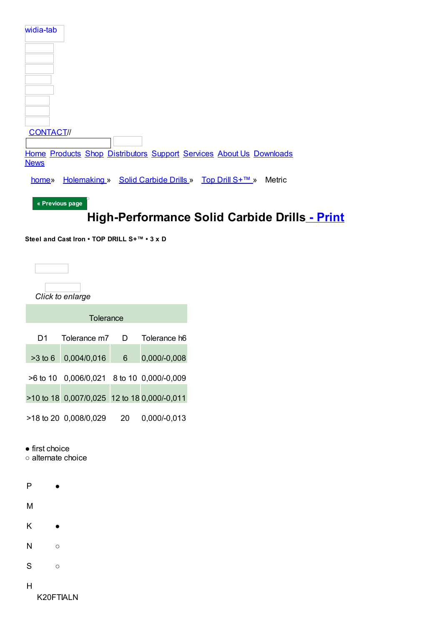| widia-tab                                                              |
|------------------------------------------------------------------------|
|                                                                        |
|                                                                        |
|                                                                        |
|                                                                        |
|                                                                        |
|                                                                        |
|                                                                        |
|                                                                        |
|                                                                        |
| <b>CONTACT//</b>                                                       |
|                                                                        |
| Home Products Shop Distributors Support Services About Us Downloads    |
| <b>News</b>                                                            |
| Holemaking » Solid Carbide Drills » Top Drill S+™ »<br>Metric<br>home» |
|                                                                        |
| « Previous page                                                        |

# High-Performance Solid Carbide Drills - Print

Steel and Cast Iron • TOP DRILL S+™ • 3 x D

|            | Click to enlarge                            |   |                      |
|------------|---------------------------------------------|---|----------------------|
|            | Tolerance                                   |   |                      |
| D1         | Tolerance m7                                | D | Tolerance h6         |
| $>3$ to 6  | 0,004/0,016                                 | 6 | 0,000/-0,008         |
| $>6$ to 10 | 0,006/0,021                                 |   | 8 to 10 0,000/-0,009 |
|            | >10 to 18 0,007/0,025 12 to 18 0,000/-0,011 |   |                      |

- >18 to 20 0,008/0,029 20 0,000/-0,013
- $\bullet$  first choice
- o alternate choice



- $\overline{H}$
- K20FTIALN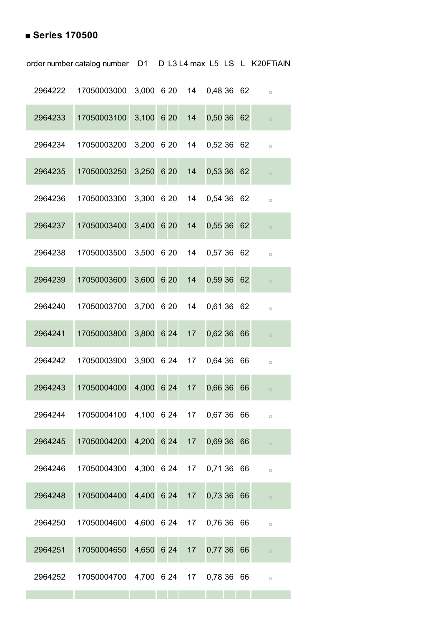### **■ Series 170500**

|         | 2964222 17050003000                         |            |              |                 | 3,000 6 20 14 0,48 36 62 |      | $\Box$ |
|---------|---------------------------------------------|------------|--------------|-----------------|--------------------------|------|--------|
| 2964233 | 17050003100                                 |            | $3,100$ 6 20 | 14              | 0,50,36                  | 62   | $\Box$ |
| 2964234 | 17050003200                                 |            | 3,200 6 20   |                 | 14 0,52 36 62            |      | $\Box$ |
| 2964235 | 17050003250                                 | 3,250 6 20 |              | 14              | 0,53 36 62               |      | $\Box$ |
| 2964236 | 17050003300                                 |            | 3,300 6 20   |                 | 14 0,54 36 62            |      | $\Box$ |
| 2964237 | 17050003400                                 | 3,400 6 20 |              | 14              | 0,5536                   | 62   | $\Box$ |
| 2964238 | 17050003500                                 |            | 3,500 6 20   |                 | 14 0,57 36 62            |      | $\Box$ |
| 2964239 | 17050003600                                 | 3,600 6 20 |              | 14              | 0,59 36                  | 62   | $\Box$ |
| 2964240 | 17050003700                                 |            | 3,700 6 20   | 14              | 0,61 36 62               |      | $\Box$ |
| 2964241 | 17050003800                                 | 3,800 6 24 |              | 17              | 0,62 36                  | 66   | $\Box$ |
| 2964242 | 17050003900                                 |            | 3,900 6 24   |                 | 17 0.64 36               | - 66 | $\Box$ |
| 2964243 | 17050004000                                 | 4,000 6 24 |              | 17              | 0,66 36                  | 66   | $\Box$ |
| 2964244 | 17050004100  4,100  6  24  17  0,67  36  66 |            |              |                 |                          |      | $\Box$ |
| 2964245 | 17050004200                                 |            | 4,200 6 24   | 17              | 0,69 36                  | 66   | $\Box$ |
| 2964246 | 17050004300                                 |            |              |                 | 4,300 6 24 17 0,71 36 66 |      | $\Box$ |
| 2964248 | 17050004400                                 | 4,400 6 24 |              | 17 <sup>7</sup> | 0,73 36                  | 66   | $\Box$ |
| 2964250 | 17050004600                                 |            |              |                 | 4,600 6 24 17 0,76 36 66 |      | $\Box$ |
| 2964251 | 17050004650                                 | 4,650 6 24 |              | 17              | 0,77 36                  | 66   | $\Box$ |
| 2964252 | 17050004700                                 |            |              |                 | 4,700 6 24 17 0,78 36 66 |      | $\Box$ |

the control of the control of the control of the control of the control of the control of

order number catalog number D1 D L3 L4 max L5 LS L K20FTiAlN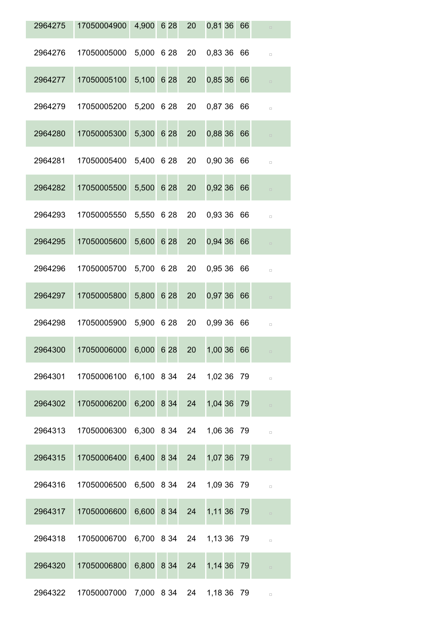| 2964275 | 17050004900 4,900 6 28 20                            |            |    | 0,81 36 66 | $\Box$ |
|---------|------------------------------------------------------|------------|----|------------|--------|
| 2964276 | 17050005000 5,000 6 28 20 0,83 36 66                 |            |    |            | $\Box$ |
| 2964277 | 17050005100 5,100 6 28                               |            | 20 | 0,85 36 66 | $\Box$ |
| 2964279 | 17050005200 5,200 6 28 20 0,87 36 66                 |            |    |            | $\Box$ |
| 2964280 | 17050005300                                          | 5,300 6 28 | 20 | 0,88 36 66 | $\Box$ |
| 2964281 | 17050005400 5,400 6 28 20 0,90 36 66                 |            |    |            | $\Box$ |
| 2964282 | 17050005500                                          | 5,500 6 28 | 20 | 0,92 36 66 | $\Box$ |
| 2964293 | 17050005550 5,550 6 28 20 0,93 36 66                 |            |    |            | $\Box$ |
| 2964295 | 17050005600                                          | 5,600 6 28 | 20 | 0,94 36 66 | $\Box$ |
| 2964296 | 17050005700 5,700 6 28 20 0,95 36 66                 |            |    |            | $\Box$ |
| 2964297 | 17050005800                                          | 5,800 6 28 | 20 | 0,97 36 66 | $\Box$ |
| 2964298 | 17050005900 5,900 6 28 20 0,99 36 66                 |            |    |            | $\Box$ |
| 2964300 | 17050006000 6,000 6 28                               |            | 20 | 1,00 36 66 |        |
|         | 2964301  17050006100  6,100  8 34  24  1,02  36  79  |            |    |            | $\Box$ |
|         | 2964302 17050006200 6,200 8 34 24 1,04 36 79         |            |    |            | $\Box$ |
|         | 2964313  17050006300  6,300  8 34  24  1,06  36  79  |            |    |            | $\Box$ |
|         | 2964315 17050006400 6,400 8 34 24 1,07 36 79         |            |    |            | $\Box$ |
|         | 2964316 17050006500 6,500 8 34 24 1,09 36 79         |            |    |            | $\Box$ |
|         | 2964317 17050006600 6,600 8 34 24 1,11 36 79         |            |    |            | $\Box$ |
|         | 2964318  17050006700  6,700  8  34  24  1,13  36  79 |            |    |            | $\Box$ |
| 2964320 | 17050006800 6,800 8 34 24 1,14 36 79                 |            |    |            | $\Box$ |
|         | 2964322 17050007000 7,000 8 34 24 1,18 36 79         |            |    |            | $\Box$ |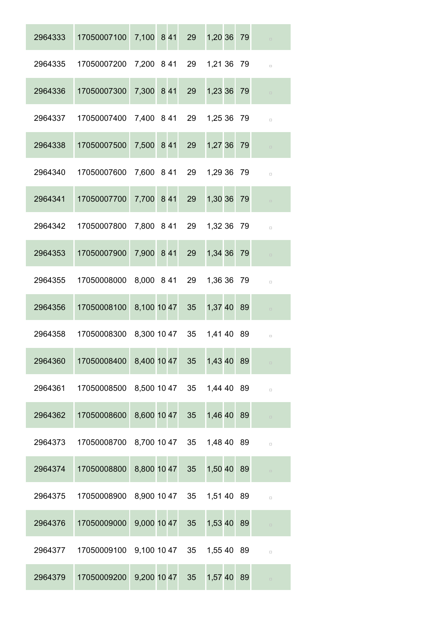| 2964333 | 17050007100                           |             | 7,100 8 41     | 29              | 1,20 36 79                | $\Box$ |
|---------|---------------------------------------|-------------|----------------|-----------------|---------------------------|--------|
| 2964335 | 17050007200                           |             |                |                 | 7,200 8 41 29 1,21 36 79  | $\Box$ |
| 2964336 | 17050007300                           | 7,300 8 41  |                | 29              | 1,23 36 79                | $\Box$ |
| 2964337 | 17050007400                           |             |                |                 | 7,400 8 41 29 1,25 36 79  | $\Box$ |
| 2964338 | 17050007500                           | 7,500 8 41  |                | 29              | 1,27 36 79                | $\Box$ |
| 2964340 | 17050007600                           |             |                |                 | 7,600 8 41 29 1,29 36 79  | $\Box$ |
| 2964341 | 17050007700                           | 7,700 8 41  |                | 29              | 1,30 36 79                | $\Box$ |
| 2964342 | 17050007800                           |             |                |                 | 7,800 8 41 29 1,32 36 79  | $\Box$ |
| 2964353 | 17050007900                           | 7,900 8 41  |                | 29              | 1,34 36 79                | $\Box$ |
| 2964355 | 17050008000                           |             | 8,000 8 41 29  |                 | 1,36 36 79                | $\Box$ |
| 2964356 | 17050008100                           | 8,100 10 47 |                | 35              | 1,37 40 89                | $\Box$ |
| 2964358 | 17050008300                           |             | 8,300 10 47 35 |                 | 1,41 40 89                | $\Box$ |
| 2964360 | 17050008400 8,400 10 47 35            |             |                |                 | 1,43 40 89                | $\Box$ |
| 2964361 | 17050008500 8,500 10 47 35 1,44 40 89 |             |                |                 |                           | $\Box$ |
| 2964362 | 17050008600                           |             | 8,600 10 47    | 35 <sup>5</sup> | 1,46 40 89                | $\Box$ |
| 2964373 | 17050008700                           |             |                |                 | 8,700 10 47 35 1,48 40 89 | $\Box$ |
| 2964374 | 17050008800                           | 8,800 10 47 |                | 35              | 1,50 40 89                | $\Box$ |
| 2964375 | 17050008900 8,900 10 47 35 1,51 40 89 |             |                |                 |                           | $\Box$ |
| 2964376 | 17050009000                           | 9,000 10 47 |                | 35 <sup>5</sup> | 1,53 40 89                | $\Box$ |
| 2964377 | 17050009100 9,100 10 47 35 1,55 40 89 |             |                |                 |                           | $\Box$ |
| 2964379 | 17050009200                           | 9,200 10 47 |                | 35 <sup>°</sup> | 1,57 40 89                | $\Box$ |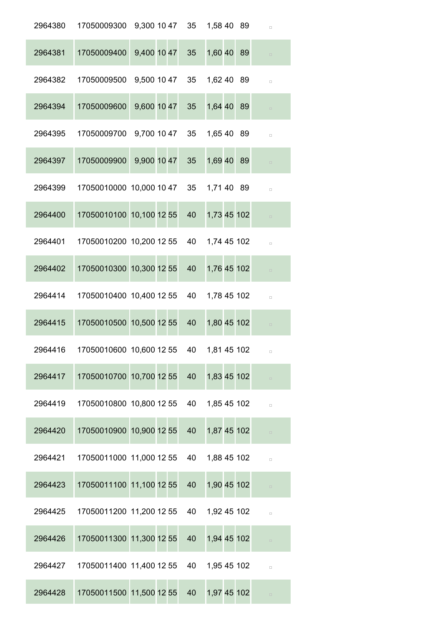| 2964380 | 17050009300                             |                |    | 9,300 10 47 35 1,58 40 89 |    | $\Box$ |
|---------|-----------------------------------------|----------------|----|---------------------------|----|--------|
| 2964381 | 17050009400                             | 9,400 10 47    | 35 | 1,60 40 89                |    | $\Box$ |
| 2964382 | 17050009500                             | 9,500 10 47 35 |    | 1,62 40 89                |    | $\Box$ |
| 2964394 | 17050009600                             | 9,600 10 47    | 35 | 1,64 40                   | 89 | $\Box$ |
| 2964395 | 17050009700                             | 9,700 10 47    | 35 | 1,65 40 89                |    | $\Box$ |
| 2964397 | 17050009900                             | 9,900 10 47    | 35 | 1,69 40 89                |    | $\Box$ |
| 2964399 | 17050010000 10,000 10 47                |                | 35 | 1,71 40 89                |    | $\Box$ |
| 2964400 | 17050010100 10,100 12 55                |                | 40 | 1,73 45 102               |    | $\Box$ |
| 2964401 | 17050010200 10,200 12 55                |                | 40 | 1,74 45 102               |    | $\Box$ |
| 2964402 | 17050010300 10,300 12 55                |                | 40 | 1,76 45 102               |    | $\Box$ |
| 2964414 | 17050010400 10,400 12 55                |                | 40 | 1,78 45 102               |    | $\Box$ |
| 2964415 | 17050010500 10,500 12 55                |                | 40 | 1,80 45 102               |    | $\Box$ |
| 2964416 | 17050010600 10,600 12 55 40 1,81 45 102 |                |    |                           |    |        |
| 2964417 | 17050010700 10,700 12 55                |                | 40 | 1,83 45 102               |    | $\Box$ |
| 2964419 | 17050010800 10,800 12 55 40 1,85 45 102 |                |    |                           |    | $\Box$ |
| 2964420 | 17050010900 10,900 12 55                |                | 40 | 1,87 45 102               |    | $\Box$ |
| 2964421 | 17050011000 11,000 12 55 40             |                |    | 1,88 45 102               |    | $\Box$ |
| 2964423 | 17050011100 11,100 12 55                |                | 40 | 1,90 45 102               |    | $\Box$ |
| 2964425 | 17050011200 11,200 12 55 40             |                |    | 1,92 45 102               |    | $\Box$ |
| 2964426 | 17050011300 11,300 12 55                |                | 40 | 1,94 45 102               |    | $\Box$ |
| 2964427 | 17050011400 11,400 12 55                |                | 40 | 1,95 45 102               |    | $\Box$ |
| 2964428 | 17050011500 11,500 12 55                |                | 40 | 1,97 45 102               |    | $\Box$ |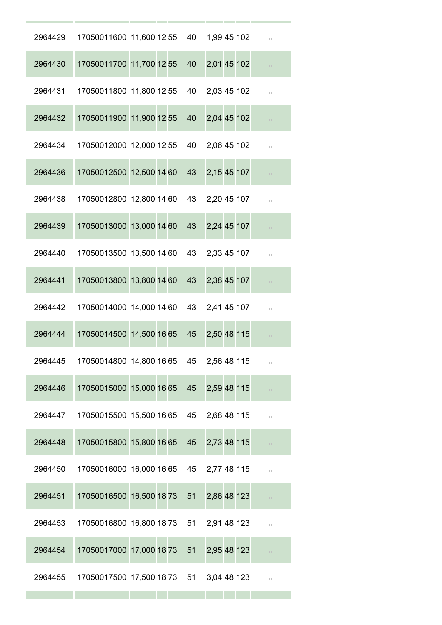| 2964429 | 17050011600 11,600 12 55 40 1,99 45 102 |  |    |                | $\Box$ |
|---------|-----------------------------------------|--|----|----------------|--------|
| 2964430 | 17050011700 11,700 12 55                |  | 40 | 2,01 45 102    | $\Box$ |
| 2964431 | 17050011800 11,800 12 55                |  | 40 | 2,03 45 102    | $\Box$ |
| 2964432 | 17050011900 11,900 12 55                |  | 40 | 2,04 45 102    | $\Box$ |
| 2964434 | 17050012000 12,000 12 55                |  | 40 | 2,06 45 102    | $\Box$ |
| 2964436 | 17050012500 12,500 14 60                |  | 43 | 2,15 45 107    | $\Box$ |
| 2964438 | 17050012800 12,800 14 60                |  |    | 43 2,20 45 107 | $\Box$ |
| 2964439 | 17050013000 13,000 14 60                |  | 43 | 2,24 45 107    | $\Box$ |
| 2964440 | 17050013500 13,500 14 60                |  |    | 43 2,33 45 107 | $\Box$ |
| 2964441 | 17050013800 13,800 14 60                |  | 43 | 2,38 45 107    | $\Box$ |
| 2964442 | 17050014000 14,000 14 60 43 2,41 45 107 |  |    |                | $\Box$ |
| 2964444 | 17050014500 14,500 16 65                |  | 45 | 2,50 48 115    | $\Box$ |
| 2964445 | 17050014800 14,800 16 65 45             |  |    | 2,56 48 115    | $\Box$ |
| 2964446 | 17050015000 15,000 16 65                |  | 45 | 2,59 48 115    | $\Box$ |
| 2964447 | 17050015500 15,500 16 65                |  | 45 | 2,68 48 115    | $\Box$ |
| 2964448 | 17050015800 15,800 16 65                |  | 45 | 2,73 48 115    | $\Box$ |
| 2964450 | 17050016000 16,000 16 65                |  | 45 | 2,77 48 115    | $\Box$ |
| 2964451 | 17050016500 16,500 18 73                |  | 51 | 2,86 48 123    | $\Box$ |
| 2964453 | 17050016800 16,800 18 73 51             |  |    | 2,91 48 123    | $\Box$ |
| 2964454 | 17050017000 17,000 18 73                |  | 51 | 2,95 48 123    | $\Box$ |
| 2964455 | 17050017500 17,500 18 73 51 3,04 48 123 |  |    |                | $\Box$ |
|         |                                         |  |    |                |        |

and the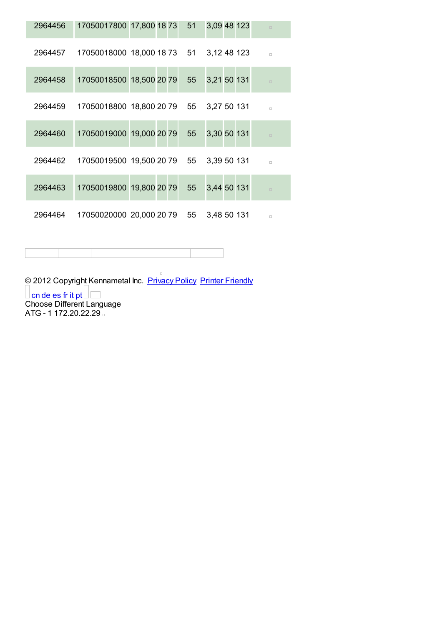| 2964456 | 17050017800 17,800 18 73 51                             |  |  | 3,09 48 123 |  | $\Box$ |
|---------|---------------------------------------------------------|--|--|-------------|--|--------|
| 2964457 | 17050018000 18,000 18 73 51 3,12 48 123                 |  |  |             |  | $\Box$ |
| 2964458 | 17050018500 18,500 20 79 55 3,21 50 131                 |  |  |             |  | $\Box$ |
| 2964459 | 17050018800 18,800 20 79 55 3,27 50 131                 |  |  |             |  | $\Box$ |
| 2964460 | 17050019000 19,000 20 79 55 3,30 50 131                 |  |  |             |  | $\Box$ |
|         | 2964462  17050019500  19,500  20  79  55  3,39  50  131 |  |  |             |  | $\Box$ |
| 2964463 | 17050019800 19,800 20 79 55                             |  |  | 3,44 50 131 |  | $\Box$ |
|         | 2964464  17050020000  20,000  20  79  55  3,48  50  131 |  |  |             |  | $\Box$ |

2012 Copyright Kennametal Inc. Privacy Policy Printer Friendly

<u>Con de es fr it pt</u><br>Choose Different Language<br>ATG - 1 172.20.22.29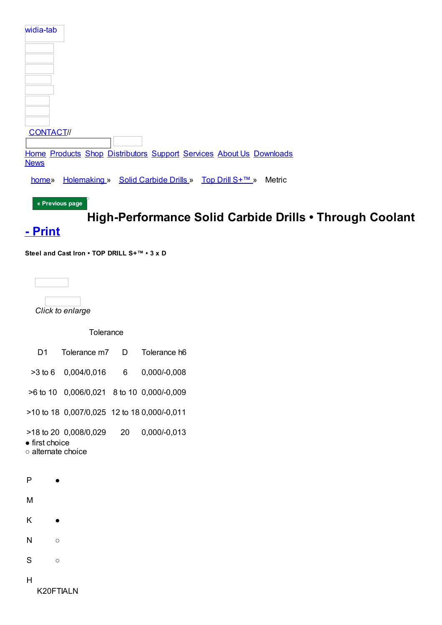| widia-tab                                                                          |
|------------------------------------------------------------------------------------|
|                                                                                    |
|                                                                                    |
|                                                                                    |
|                                                                                    |
|                                                                                    |
| <b>CONTACT//</b>                                                                   |
| Home Products Shop Distributors Support Services About Us Downloads<br><b>News</b> |
| Holemaking » Solid Carbide Drills » Top Drill S+™ »<br>Metric<br>home»             |
| « Previous page                                                                    |

High-Performance Solid Carbide Drills . Through Coolant

## - Print

Steel and Cast Iron • TOP DRILL S+™ • 3 x D



Click to enlarge

### Tolerance

| D1                                           | Tolerance m7 D                              |                 | Tolerance h6 |
|----------------------------------------------|---------------------------------------------|-----------------|--------------|
|                                              | >3 to 6 0,004/0,016                         | $6\overline{6}$ | 0,000/-0,008 |
|                                              | >6 to 10 0,006/0,021 8 to 10 0,000/-0,009   |                 |              |
|                                              | >10 to 18 0,007/0,025 12 to 18 0,000/-0,011 |                 |              |
| $\bullet$ first choice<br>○ alternate choice | >18 to 20 0,008/0,029                       | 20              | 0,000/-0,013 |
| P                                            |                                             |                 |              |
| М                                            |                                             |                 |              |
| Κ                                            |                                             |                 |              |
| N<br>Ο                                       |                                             |                 |              |
| S<br>$\circ$                                 |                                             |                 |              |
| н<br>K20FTIALN                               |                                             |                 |              |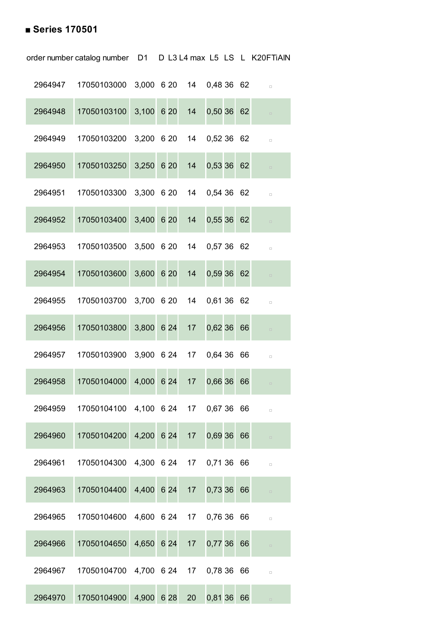### **■ Series 170501**

|         | order number catalog number D1 D L3 L4 max L5 LS L K20FTiAIN |            |  |                  |              |  |        |
|---------|--------------------------------------------------------------|------------|--|------------------|--------------|--|--------|
|         | 2964947  17050103000  3,000  6  20  14  0,48  36  62         |            |  |                  |              |  | $\Box$ |
| 2964948 | 17050103100 3,100 6 20                                       |            |  | 14 0,50 36 62    |              |  | $\Box$ |
| 2964949 | 17050103200 3,200 6 20 14 0,52 36 62                         |            |  |                  |              |  | $\Box$ |
| 2964950 | 17050103250 3,250 6 20                                       |            |  | 14 0,53 36 62    |              |  | $\Box$ |
| 2964951 | 17050103300 3,300 6 20 14 0,54 36 62                         |            |  |                  |              |  | $\Box$ |
| 2964952 | 17050103400                                                  | 3,400 6 20 |  | 14               | 0,55366      |  | $\Box$ |
| 2964953 | 17050103500 3,500 6 20 14 0,57 36 62                         |            |  |                  |              |  | $\Box$ |
| 2964954 | 17050103600                                                  | 3,600 6 20 |  | 14               | $0,59$ 36 62 |  | $\Box$ |
| 2964955 | 17050103700 3,700 6 20 14 0,61 36 62                         |            |  |                  |              |  | $\Box$ |
| 2964956 | 17050103800                                                  | 3,800 6 24 |  | 17 <sup>17</sup> | $0,62$ 36 66 |  | $\Box$ |
| 2964957 | 17050103900 3,900 6 24 17 0,64 36 66                         |            |  |                  |              |  | $\Box$ |
| 2964958 | 17050104000                                                  | 4,000 6 24 |  | 17 0,66 36 66    |              |  | $\Box$ |
| 2964959 | 17050104100 4,100 6 24 17 0,67 36 66                         |            |  |                  |              |  | $\Box$ |
| 2964960 | 17050104200                                                  | 4,200 6 24 |  | 17 <sup>17</sup> | 0,69 36 66   |  | $\Box$ |
| 2964961 | 17050104300  4,300  6  24                                    |            |  | 17               | 0,71 36 66   |  | $\Box$ |
| 2964963 | 17050104400                                                  | 4,400 6 24 |  | 17 <sup>2</sup>  | 0,73 36 66   |  | $\Box$ |
| 2964965 | 17050104600                                                  | 4,600 6 24 |  | 17 0,76 36 66    |              |  | $\Box$ |
| 2964966 | 17050104650                                                  | 4,650 6 24 |  | 17 <sup>7</sup>  | 0,77 36 66   |  | $\Box$ |
| 2964967 | 17050104700 4,700 6 24                                       |            |  | 17 0,78 36 66    |              |  | $\Box$ |
| 2964970 | 17050104900                                                  | 4,900 6 28 |  | 20               | 0,81 36 66   |  | $\Box$ |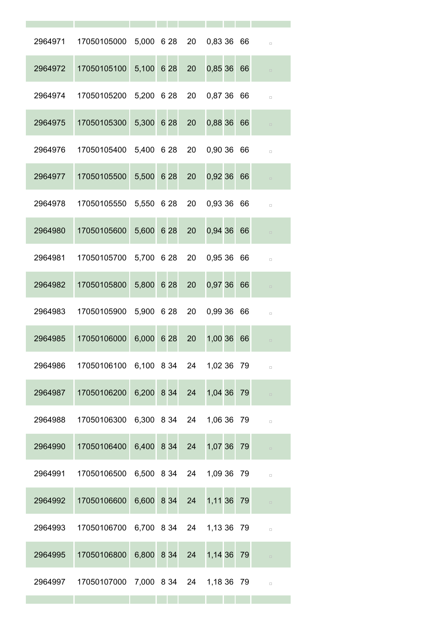| 2964971 | 17050105000 5,000 6 28 20 0,83 36 66                 |               |                 |            |    | $\Box$ |
|---------|------------------------------------------------------|---------------|-----------------|------------|----|--------|
| 2964972 | 17050105100                                          | $5,100$ 6 28  | 20              | 0,85 36 66 |    | $\Box$ |
| 2964974 | 17050105200 5,200 6 28 20 0,87 36 66                 |               |                 |            |    | $\Box$ |
| 2964975 | 17050105300                                          | 5,300 6 28    | 20              | 0,88 36 66 |    | $\Box$ |
| 2964976 | 17050105400 5,400 6 28 20 0,90 36 66                 |               |                 |            |    | $\Box$ |
| 2964977 | 17050105500                                          | 5,500 6 28    | 20              | 0,92 36 66 |    | $\Box$ |
| 2964978 | 17050105550 5,550 6 28 20 0,93 36 66                 |               |                 |            |    | $\Box$ |
| 2964980 | 17050105600                                          | 5,600 6 28    | 20              | 0,94 36 66 |    |        |
| 2964981 | 17050105700 5,700 6 28 20 0,95 36 66                 |               |                 |            |    | $\Box$ |
| 2964982 | 17050105800                                          | 5,800 6 28    | 20              | 0,97 36 66 |    | $\Box$ |
| 2964983 | 17050105900 5,900 6 28 20 0,99 36 66                 |               |                 |            |    | $\Box$ |
| 2964985 | 17050106000                                          | 6,000 6 28    | 20 <sup>1</sup> | 1,00 36    | 66 | $\Box$ |
|         | 2964986  17050106100  6,100  8 34  24  1,02  36  79  |               |                 |            |    | $\Box$ |
|         | 2964987 17050106200 6,200 8 34 24 1,04 36 79         |               |                 |            |    | $\Box$ |
|         | 2964988 17050106300 6,300 8 34 24 1,06 36 79         |               |                 |            |    | $\Box$ |
| 2964990 | 17050106400 6,400 8 34 24 1,07 36 79                 |               |                 |            |    | $\Box$ |
|         | 2964991  17050106500  6,500  8  34  24  1,09  36  79 |               |                 |            |    | $\Box$ |
| 2964992 | 17050106600                                          | 6,600 8 34 24 |                 | 1,11 36 79 |    | $\Box$ |
| 2964993 | 17050106700 6,700 8 34 24 1,13 36 79                 |               |                 |            |    | $\Box$ |
| 2964995 | 17050106800                                          | 6,800 8 34 24 |                 | 1,14 36 79 |    | $\Box$ |
|         | 2964997 17050107000 7,000 8 34 24 1,18 36 79         |               |                 |            |    | $\Box$ |
|         |                                                      |               |                 |            |    |        |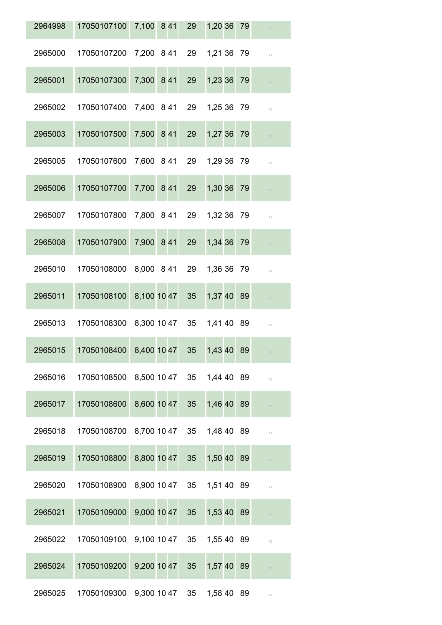| 2964998 | 17050107100                           | 7,100 8 41  |                | 29              | 1,20 36 79 |    | $\Box$ |
|---------|---------------------------------------|-------------|----------------|-----------------|------------|----|--------|
| 2965000 | 17050107200                           |             | 7,200 8 41     | 29              | 1,21 36 79 |    | $\Box$ |
| 2965001 | 17050107300                           | 7,300 8 41  |                | 29              | 1,23 36 79 |    | $\Box$ |
| 2965002 | 17050107400                           |             | 7,400 8 41     | 29              | 1,25 36 79 |    | $\Box$ |
| 2965003 | 17050107500                           | 7,500 8 41  |                | 29              | 1,27 36    | 79 | $\Box$ |
| 2965005 | 17050107600                           |             | 7,600 8 41     | 29              | 1,29 36 79 |    | $\Box$ |
| 2965006 | 17050107700                           | 7,700 8 41  |                | 29              | 1,30 36    | 79 | $\Box$ |
| 2965007 | 17050107800                           | 7,800 8 41  |                | 29              | 1,32 36    | 79 | $\Box$ |
| 2965008 | 17050107900                           | 7,900 8 41  |                | 29              | 1,34 36    | 79 | $\Box$ |
| 2965010 | 17050108000                           |             | 8,000 8 41     | 29              | 1,36 36 79 |    | $\Box$ |
| 2965011 | 17050108100                           | 8,100 10 47 |                | 35              | 1,37 40 89 |    | $\Box$ |
| 2965013 | 17050108300                           |             | 8,300 10 47 35 |                 | 1,41 40 89 |    | $\Box$ |
| 2965015 | 17050108400 8,400 10 47               |             |                | 35 <sup>7</sup> | 1,43 40 89 |    |        |
| 2965016 | 17050108500 8,500 10 47 35 1,44 40 89 |             |                |                 |            |    | $\Box$ |
| 2965017 | 17050108600 8,600 10 47 35            |             |                |                 | 1,46 40 89 |    | $\Box$ |
| 2965018 | 17050108700 8,700 10 47 35 1,48 40 89 |             |                |                 |            |    | $\Box$ |
| 2965019 | 17050108800 8,800 10 47 35            |             |                |                 | 1,50 40 89 |    | $\Box$ |
| 2965020 | 17050108900 8,900 10 47 35 1,51 40 89 |             |                |                 |            |    | $\Box$ |
| 2965021 | 17050109000                           |             | 9,000 10 47 35 |                 | 1,53 40 89 |    | $\Box$ |
| 2965022 | 17050109100 9,100 10 47 35 1,55 40 89 |             |                |                 |            |    | $\Box$ |
| 2965024 | 17050109200                           |             | 9,200 10 47 35 |                 | 1,57 40 89 |    | $\Box$ |
| 2965025 | 17050109300 9,300 10 47 35            |             |                |                 | 1,58 40 89 |    | $\Box$ |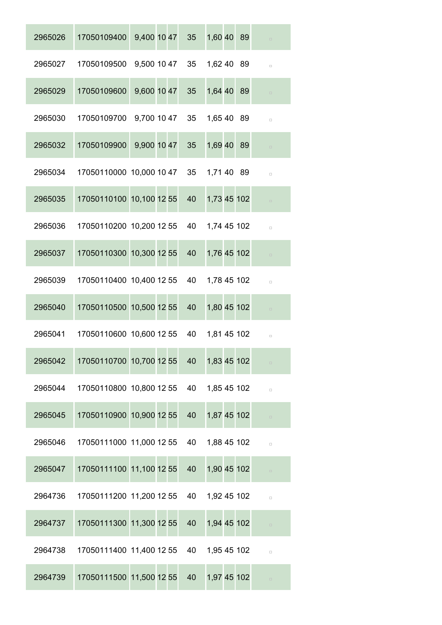| 2965026 | 17050109400                                           | 9,400 10 47 35 1,60 40 89 |                 |                | $\Box$ |
|---------|-------------------------------------------------------|---------------------------|-----------------|----------------|--------|
|         | 2965027  17050109500  9,500  10  47  35  1,62  40  89 |                           |                 |                | $\Box$ |
| 2965029 | 17050109600                                           | 9,600 10 47               | 35 <sup>5</sup> | 1,64 40 89     | $\Box$ |
| 2965030 | 17050109700 9,700 10 47 35 1,65 40 89                 |                           |                 |                | $\Box$ |
| 2965032 | 17050109900                                           | 9,900 10 47 35            |                 | 1,69 40 89     | $\Box$ |
| 2965034 | 17050110000 10,000 10 47 35 1,71 40 89                |                           |                 |                | $\Box$ |
| 2965035 | 17050110100 10,100 12 55                              |                           | 40              | 1,73 45 102    | $\Box$ |
| 2965036 | 17050110200 10,200 12 55 40 1,74 45 102               |                           |                 |                | $\Box$ |
| 2965037 | 17050110300 10,300 12 55                              |                           | 40              | 1,76 45 102    | $\Box$ |
| 2965039 | 17050110400 10,400 12 55 40 1,78 45 102               |                           |                 |                | $\Box$ |
| 2965040 | 17050110500 10,500 12 55                              |                           | 40              | 1,80 45 102    | $\Box$ |
| 2965041 | 17050110600 10,600 12 55 40                           |                           |                 | 1,81 45 102    | $\Box$ |
| 2965042 | 17050110700 10,700 12 55                              |                           | 40              | 1,83 45 102    | $\Box$ |
| 2965044 | 17050110800 10,800 12 55                              |                           |                 | 40 1,85 45 102 | $\Box$ |
| 2965045 | 17050110900 10,900 12 55                              |                           | 40              | 1,87 45 102    | $\Box$ |
| 2965046 | 17050111000 11,000 12 55                              |                           | 40              | 1,88 45 102    | $\Box$ |
| 2965047 | 17050111100 11,100 12 55                              |                           | 40              | 1,90 45 102    | $\Box$ |
| 2964736 | 17050111200 11,200 12 55                              |                           | 40              | 1,92 45 102    | $\Box$ |
| 2964737 | 17050111300 11,300 12 55                              |                           | 40              | 1,94 45 102    | $\Box$ |
| 2964738 | 17050111400 11,400 12 55 40 1,95 45 102               |                           |                 |                | $\Box$ |
| 2964739 | 17050111500 11,500 12 55                              |                           | 40              | 1,97 45 102    | $\Box$ |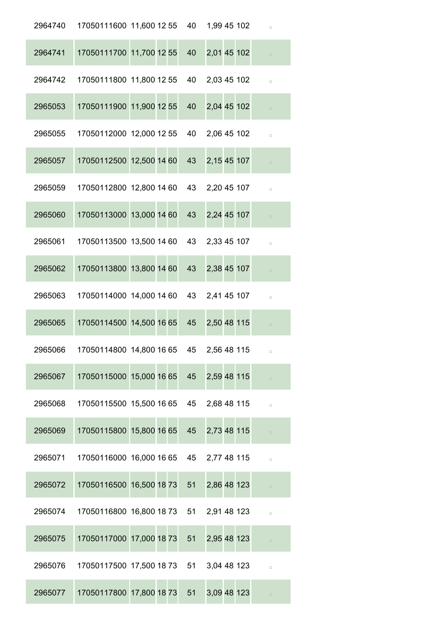| 2964740 | 17050111600 11,600 12 55 40 1,99 45 102 |    |             | $\Box$ |
|---------|-----------------------------------------|----|-------------|--------|
| 2964741 | 17050111700 11,700 12 55                | 40 | 2,01 45 102 | $\Box$ |
| 2964742 | 17050111800 11,800 12 55                | 40 | 2,03 45 102 | $\Box$ |
| 2965053 | 17050111900 11,900 12 55                | 40 | 2,04 45 102 | $\Box$ |
| 2965055 | 17050112000 12,000 12 55                | 40 | 2,06 45 102 | $\Box$ |
| 2965057 | 17050112500 12,500 14 60                | 43 | 2,15 45 107 | $\Box$ |
| 2965059 | 17050112800 12,800 14 60 43             |    | 2,20 45 107 | $\Box$ |
| 2965060 | 17050113000 13,000 14 60                | 43 | 2,24 45 107 | $\Box$ |
| 2965061 | 17050113500 13,500 14 60                | 43 | 2,33 45 107 | $\Box$ |
| 2965062 | 17050113800 13,800 14 60                | 43 | 2,38 45 107 | $\Box$ |
| 2965063 | 17050114000 14,000 14 60 43             |    | 2,41 45 107 | $\Box$ |
| 2965065 | 17050114500 14,500 16 65                | 45 | 2,50 48 115 | $\Box$ |
| 2965066 | 17050114800 14,800 16 65 45 2,56 48 115 |    |             |        |
| 2965067 | 17050115000 15,000 16 65 45 2,59 48 115 |    |             | $\Box$ |
| 2965068 | 17050115500 15,500 16 65 45 2,68 48 115 |    |             | $\Box$ |
| 2965069 | 17050115800 15,800 16 65                | 45 | 2,73 48 115 | $\Box$ |
| 2965071 | 17050116000 16,000 16 65 45 2,77 48 115 |    |             | $\Box$ |
| 2965072 | 17050116500 16,500 18 73 51             |    | 2,86 48 123 | $\Box$ |
| 2965074 | 17050116800 16,800 18 73 51 2,91 48 123 |    |             | $\Box$ |
| 2965075 | 17050117000 17,000 18 73 51             |    | 2,95 48 123 | $\Box$ |
| 2965076 | 17050117500 17,500 18 73 51 3,04 48 123 |    |             | $\Box$ |
| 2965077 | 17050117800 17,800 18 73 51             |    | 3,09 48 123 | $\Box$ |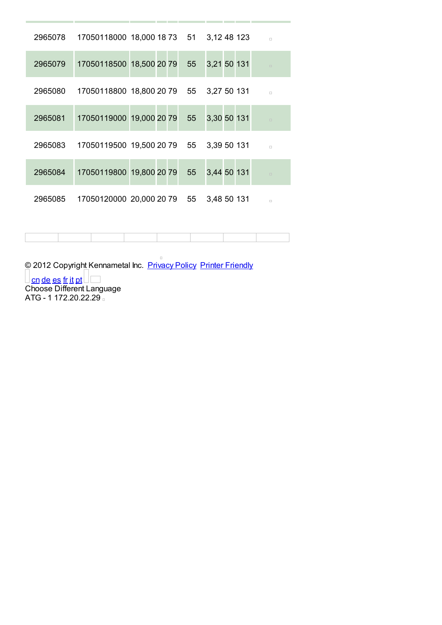| 2965078 | 17050118000 18,000 18 73 51 3,12 48 123 |    |                | $\Box$ |
|---------|-----------------------------------------|----|----------------|--------|
| 2965079 | 17050118500 18,500 20 79                |    | 55 3,21 50 131 | $\Box$ |
| 2965080 | 17050118800 18,800 20 79 55 3,27 50 131 |    |                | $\Box$ |
| 2965081 | 17050119000 19,000 20 79                | 55 | 3,30 50 131    | $\Box$ |
| 2965083 | 17050119500 19,500 20 79 55 3,39 50 131 |    |                | $\Box$ |
| 2965084 | 17050119800 19,800 20 79                | 55 | 3,44 50 131    | $\Box$ |
| 2965085 | 17050120000 20,000 20 79 55             |    | 3,48 50 131    | $\Box$ |

© 2012 Copyright Kennametal Inc. Privacy Policy Printer Friendly <u>cn de es fr it pt</u> Choose Different Language ATG - 1 172.20.22.29

 $\Box$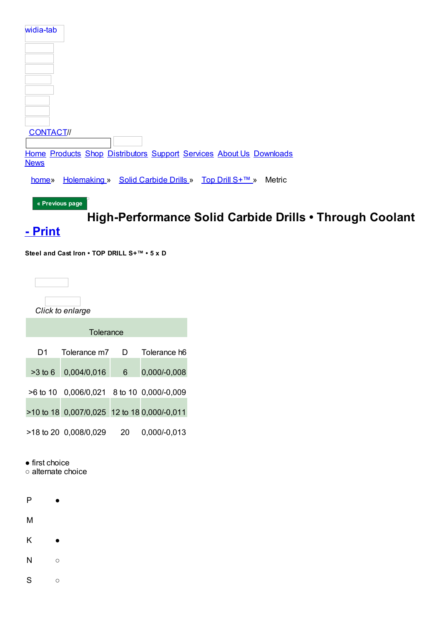| widia-tab                                                                          |
|------------------------------------------------------------------------------------|
|                                                                                    |
|                                                                                    |
|                                                                                    |
|                                                                                    |
| <b>CONTACT//</b>                                                                   |
| Home Products Shop Distributors Support Services About Us Downloads<br><b>News</b> |
| Holemaking » Solid Carbide Drills » Top Drill S+™ »<br>Metric<br>home»             |
| « Previous page                                                                    |

# High-Performance Solid Carbide Drills . Through Coolant

## - Print

Steel and Cast Iron • TOP DRILL S+™ • 5 x D



Click to enlarge

| Tolerance |                                             |    |              |  |  |  |  |  |  |  |  |
|-----------|---------------------------------------------|----|--------------|--|--|--|--|--|--|--|--|
| D1        | Tolerance m7                                | D. | Tolerance h6 |  |  |  |  |  |  |  |  |
| $>3$ to 6 | 0,004/0,016                                 | 6  | 0,000/-0,008 |  |  |  |  |  |  |  |  |
|           | >6 to 10 0,006/0,021 8 to 10 0,000/-0,009   |    |              |  |  |  |  |  |  |  |  |
|           | >10 to 18 0,007/0,025 12 to 18 0,000/-0,011 |    |              |  |  |  |  |  |  |  |  |
|           | >18 to 20 0,008/0,029                       | 20 | 0,000/-0,013 |  |  |  |  |  |  |  |  |

 $\bullet$  first choice

 $\circ$  alternate choice

 $\bullet$ 

 $\overline{P}$ 

M

K  $\bullet$ 

 $\mathsf{N}$  $\circ$ 

 ${\mathsf S}$  $\circ$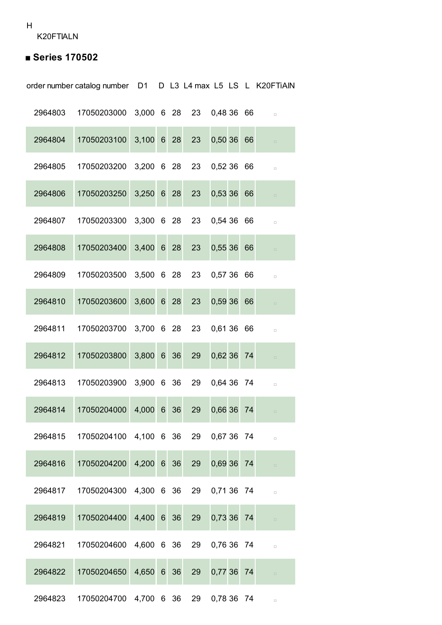K20FTIALN

## **■ Series 170502**

order number catalog number D1 D L3 L4 max L5 LS L K20FTiAlN

| 2964803 | 17050203000 3,000 6 28    |              |                 |    |    | 23 0.48 36 66 |    | $\Box$ |
|---------|---------------------------|--------------|-----------------|----|----|---------------|----|--------|
| 2964804 | 17050203100               | $3,100$ 6 28 |                 |    | 23 | $0,50,36$ 66  |    | $\Box$ |
| 2964805 | 17050203200 3,200 6 28    |              |                 |    |    | 23 0,52 36 66 |    | $\Box$ |
| 2964806 | 17050203250               | 3,250 6 28   |                 |    | 23 | 0,53 36 66    |    | $\Box$ |
| 2964807 | 17050203300 3,300 6 28    |              |                 |    |    | 23 0,54 36 66 |    | $\Box$ |
| 2964808 | 17050203400               | $3,400$ 6 28 |                 |    | 23 | 0,55366       |    | $\Box$ |
| 2964809 | 17050203500 3,500 6 28    |              |                 |    |    | 23 0,57 36 66 |    | $\Box$ |
| 2964810 | 17050203600               | $3,600$ 6 28 |                 |    | 23 | 0,59366       |    | $\Box$ |
| 2964811 | 17050203700 3,700 6 28    |              |                 |    |    | 23 0,61 36 66 |    | $\Box$ |
| 2964812 | 17050203800               | 3,800 6 36   |                 |    | 29 | 0,62 36       | 74 | $\Box$ |
| 2964813 | 17050203900 3,900 6 36    |              |                 |    |    | 29 0,64 36 74 |    | $\Box$ |
| 2964814 | 17050204000               | 4,000 6 36   |                 |    | 29 | 0,66 36       | 74 | $\Box$ |
| 2964815 | 17050204100               | 4,100        | $6\overline{6}$ | 36 | 29 | 0,67 36       | 74 |        |
| 2964816 | 17050204200               | 4,200 6 36   |                 |    | 29 | 0,69 36 74    |    | $\Box$ |
| 2964817 | 17050204300  4,300  6  36 |              |                 |    | 29 | 0,71 36 74    |    | $\Box$ |
| 2964819 | 17050204400               | 4,400 6 36   |                 |    | 29 | 0,73 36       | 74 | $\Box$ |
| 2964821 | 17050204600               | 4,600 6 36   |                 |    | 29 | 0,76 36 74    |    | $\Box$ |
| 2964822 | 17050204650               | 4,650 6 36   |                 |    | 29 | 0,77 36       | 74 | $\Box$ |
| 2964823 | 17050204700               | 4,700 6 36   |                 |    | 29 | 0,78 36 74    |    | $\Box$ |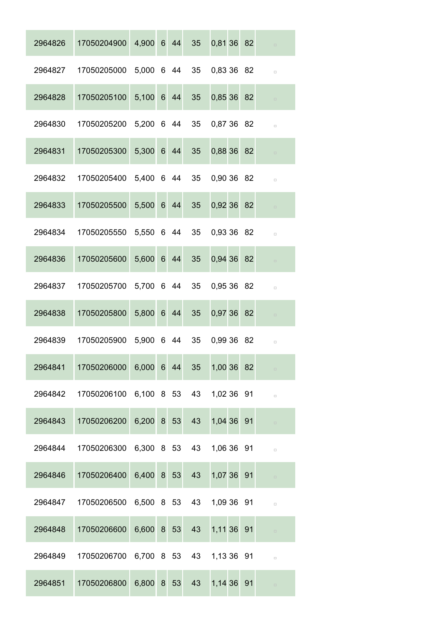| 2964826 | 17050204900            | 4,900 6 44 |      | 35              | 0,81 36 82    |  | $\Box$ |
|---------|------------------------|------------|------|-----------------|---------------|--|--------|
| 2964827 | 17050205000            | 5,000 6 44 |      | 35              | 0,83 36 82    |  | $\Box$ |
| 2964828 | 17050205100            | 5,100 6 44 |      | 35              | 0,85 36 82    |  | $\Box$ |
| 2964830 | 17050205200 5,200 6 44 |            |      | 35 <sup>5</sup> | 0,87 36 82    |  | $\Box$ |
| 2964831 | 17050205300            | 5,300 6 44 |      | 35              | 0,88 36 82    |  |        |
| 2964832 | 17050205400            | 5,400 6 44 |      | 35              | 0,90 36 82    |  | $\Box$ |
| 2964833 | 17050205500            | 5,500 6 44 |      | 35              | 0.92 36 82    |  |        |
| 2964834 | 17050205550            | 5,550 6 44 |      | 35 <sup>5</sup> | 0.93 36 82    |  | $\Box$ |
| 2964836 | 17050205600            | 5,600 6 44 |      | 35              | 0,94 36 82    |  | $\Box$ |
| 2964837 | 17050205700            | 5,700 6 44 |      | 35 <sup>5</sup> | 0,95 36 82    |  | $\Box$ |
| 2964838 | 17050205800            | 5,800 6 44 |      | 35              | 0,97 36 82    |  | $\Box$ |
| 2964839 | 17050205900            | 5,900 6 44 |      | 35              | 0,99 36 82    |  | $\Box$ |
| 2964841 | 17050206000            | 6,000 6 44 |      | 35              | 1,00 36 82    |  |        |
| 2964842 | 17050206100 6,100 8 53 |            |      |                 | 43 1,02 36 91 |  | $\Box$ |
| 2964843 | 17050206200            | 6,200 8 53 |      | 43              | 1,04 36 91    |  | $\Box$ |
| 2964844 | 17050206300 6,300 8 53 |            |      | 43              | 1,06 36 91    |  | $\Box$ |
| 2964846 | 17050206400            | 6,400 8 53 |      | 43              | 1,07 36 91    |  | $\Box$ |
| 2964847 | 17050206500 6,500 8 53 |            |      |                 | 43 1,09 36 91 |  | $\Box$ |
| 2964848 | 17050206600            | 6,600 8 53 |      | 43              | 1,11 36 91    |  | $\Box$ |
| 2964849 | 17050206700 6,700 8 53 |            |      |                 | 43 1,13 36 91 |  | $\Box$ |
| 2964851 | 17050206800            | 6,800      | 8 53 | 43              | 1,14 36 91    |  | $\Box$ |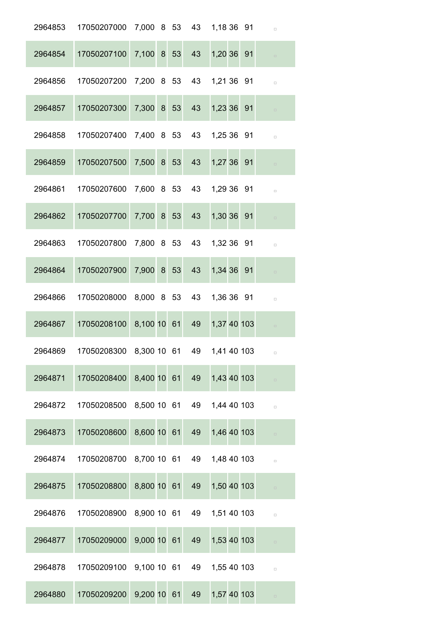| 2964853 | 17050207000                | 7,000 8 53     |      | 43 | 1,18 36 91  | $\Box$ |
|---------|----------------------------|----------------|------|----|-------------|--------|
| 2964854 | 17050207100                | 7,100 8 53     |      | 43 | 1,20 36 91  | $\Box$ |
| 2964856 | 17050207200                | 7,200 8 53     |      | 43 | 1,21 36 91  | $\Box$ |
| 2964857 | 17050207300                | 7,300          | 8 53 | 43 | 1,23 36 91  | $\Box$ |
| 2964858 | 17050207400                | 7,400 8 53     |      | 43 | 1,25 36 91  | $\Box$ |
| 2964859 | 17050207500                | 7,500          | 8 53 | 43 | 1,27 36 91  | $\Box$ |
| 2964861 | 17050207600                | 7,600 8 53     |      | 43 | 1,29 36 91  | $\Box$ |
| 2964862 | 17050207700                | 7,700          | 8 53 | 43 | 1,30 36 91  | $\Box$ |
| 2964863 | 17050207800                | 7,800 8 53     |      | 43 | 1,32 36 91  | $\Box$ |
| 2964864 | 17050207900                | 7,900 8 53     |      | 43 | 1,34 36 91  | $\Box$ |
| 2964866 | 17050208000                | 8,000 8 53     |      | 43 | 1,36 36 91  | $\Box$ |
| 2964867 | 17050208100                | 8,100 10 61    |      | 49 | 1,37 40 103 | $\Box$ |
| 2964869 | 17050208300 8,300 10 61 49 |                |      |    | 1,41 40 103 |        |
| 2964871 | 17050208400                | 8,400 10 61    |      | 49 | 1,43 40 103 | $\Box$ |
| 2964872 | 17050208500                | 8,500 10 61 49 |      |    | 1,44 40 103 | $\Box$ |
| 2964873 | 17050208600                | 8,600 10 61    |      | 49 | 1,46 40 103 | $\Box$ |
| 2964874 | 17050208700                | 8,700 10 61    |      | 49 | 1,48 40 103 | $\Box$ |
| 2964875 | 17050208800                | 8,800 10 61    |      | 49 | 1,50 40 103 | $\Box$ |
| 2964876 | 17050208900                | 8,900 10 61 49 |      |    | 1,51 40 103 | $\Box$ |
| 2964877 | 17050209000                | 9,000 10 61    |      | 49 | 1,53 40 103 | $\Box$ |
| 2964878 | 17050209100                | 9,100 10 61 49 |      |    | 1,55 40 103 | $\Box$ |
| 2964880 | 17050209200                | 9,200 10 61    |      | 49 | 1,57 40 103 | $\Box$ |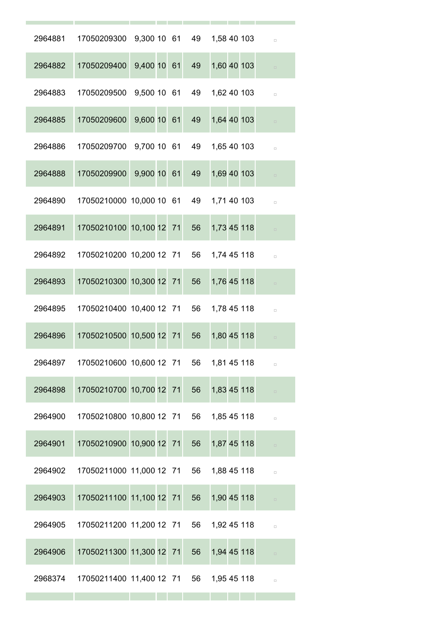| 2964881 | 17050209300                 |             |  | 9,300 10 61 49 | 1,58 40 103 |  | $\Box$ |
|---------|-----------------------------|-------------|--|----------------|-------------|--|--------|
| 2964882 | 17050209400                 | 9,400 10 61 |  | 49             | 1,60 40 103 |  | $\Box$ |
| 2964883 | 17050209500                 | 9,500 10 61 |  | 49             | 1,62 40 103 |  | $\Box$ |
| 2964885 | 17050209600                 | 9,600 10 61 |  | 49             | 1,64 40 103 |  | $\Box$ |
| 2964886 | 17050209700                 | 9,700 10 61 |  | 49             | 1,65 40 103 |  | $\Box$ |
| 2964888 | 17050209900                 | 9,900 10 61 |  | 49             | 1,69 40 103 |  |        |
| 2964890 | 17050210000 10,000 10 61    |             |  | 49             | 1,71 40 103 |  | $\Box$ |
| 2964891 | 17050210100 10,100 12 71    |             |  | 56             | 1,73 45 118 |  |        |
| 2964892 | 17050210200 10,200 12 71    |             |  | 56             | 1,74 45 118 |  | $\Box$ |
| 2964893 | 17050210300 10,300 12 71    |             |  | 56             | 1,76 45 118 |  | $\Box$ |
| 2964895 | 17050210400 10,400 12 71    |             |  | 56             | 1,78 45 118 |  | $\Box$ |
| 2964896 | 17050210500 10,500 12 71    |             |  | 56             | 1,80 45 118 |  | $\Box$ |
| 2964897 | 17050210600 10,600 12 71 56 |             |  |                | 1,81 45 118 |  | $\Box$ |
| 2964898 | 17050210700 10,700 12 71    |             |  | 56             | 1,83 45 118 |  | $\Box$ |
| 2964900 | 17050210800 10,800 12 71    |             |  | 56             | 1,85 45 118 |  | $\Box$ |
| 2964901 | 17050210900 10,900 12 71    |             |  | 56             | 1,87 45 118 |  | $\Box$ |
| 2964902 | 17050211000 11,000 12 71    |             |  | 56             | 1,88 45 118 |  | $\Box$ |
| 2964903 | 17050211100 11,100 12 71    |             |  | 56             | 1,90 45 118 |  | $\Box$ |
| 2964905 | 17050211200 11,200 12 71    |             |  | 56             | 1,92 45 118 |  | $\Box$ |
| 2964906 | 17050211300 11,300 12 71    |             |  | 56             | 1,94 45 118 |  | $\Box$ |
| 2968374 | 17050211400 11,400 12 71    |             |  | 56             | 1,95 45 118 |  | $\Box$ |
|         |                             |             |  |                |             |  |        |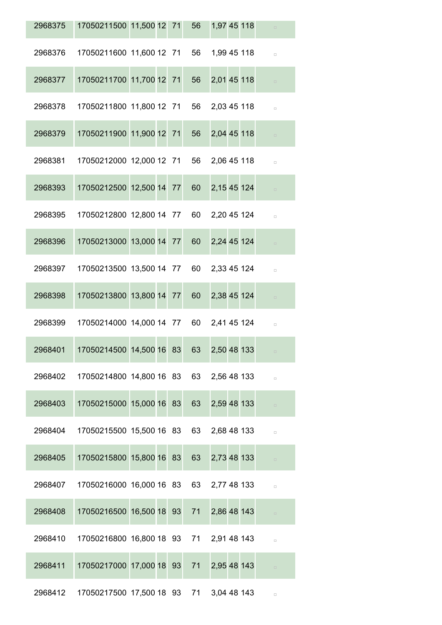| 2968375 | 17050211500 11,500 12 71 56                     |  |    | 1,97 45 118 |  | $\Box$ |
|---------|-------------------------------------------------|--|----|-------------|--|--------|
| 2968376 | 17050211600 11,600 12 71 56 1,99 45 118         |  |    |             |  | $\Box$ |
| 2968377 | 17050211700 11,700 12 71                        |  | 56 | 2,01 45 118 |  |        |
| 2968378 | 17050211800 11,800 12 71 56 2,03 45 118         |  |    |             |  | $\Box$ |
| 2968379 | 17050211900 11,900 12 71                        |  | 56 | 2,04 45 118 |  |        |
| 2968381 | 17050212000 12,000 12 71 56 2,06 45 118         |  |    |             |  | $\Box$ |
| 2968393 | 17050212500 12,500 14 77                        |  | 60 | 2,15 45 124 |  |        |
| 2968395 | 17050212800 12,800 14 77 60 2,20 45 124         |  |    |             |  | $\Box$ |
| 2968396 | 17050213000 13,000 14 77                        |  | 60 | 2,24 45 124 |  | $\Box$ |
| 2968397 | 17050213500 13,500 14 77 60 2,33 45 124         |  |    |             |  | $\Box$ |
| 2968398 | 17050213800 13,800 14 77 60                     |  |    | 2,38 45 124 |  | $\Box$ |
| 2968399 | 17050214000 14,000 14 77 60 2,41 45 124         |  |    |             |  | $\Box$ |
| 2968401 | 17050214500 14,500 16 83 63                     |  |    | 2,50 48 133 |  |        |
|         | 2968402 17050214800 14,800 16 83 63 2,56 48 133 |  |    |             |  | $\Box$ |
| 2968403 | 17050215000 15,000 16 83 63 2,59 48 133         |  |    |             |  | $\Box$ |
| 2968404 | 17050215500 15,500 16 83 63 2,68 48 133         |  |    |             |  | $\Box$ |
| 2968405 | 17050215800 15,800 16 83 63 2,73 48 133         |  |    |             |  |        |
| 2968407 | 17050216000 16,000 16 83 63 2,77 48 133         |  |    |             |  | $\Box$ |
| 2968408 | 17050216500 16,500 18 93 71 2,86 48 143         |  |    |             |  |        |
| 2968410 | 17050216800 16,800 18 93 71 2,91 48 143         |  |    |             |  | $\Box$ |
| 2968411 | 17050217000 17,000 18 93 71 2,95 48 143         |  |    |             |  |        |
|         | 2968412 17050217500 17,500 18 93 71 3,04 48 143 |  |    |             |  | $\Box$ |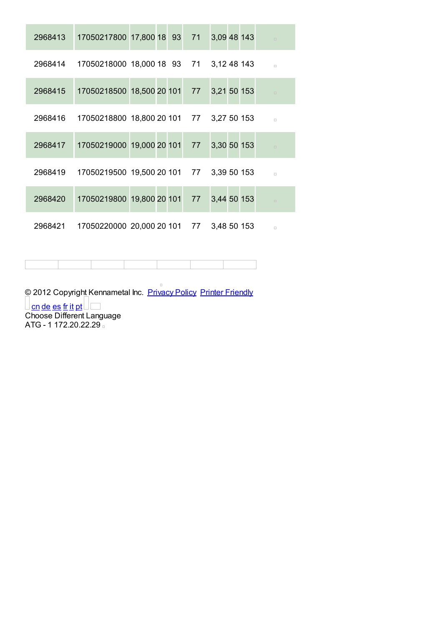| 2968413 | 17050217800 17,800 18 93 71 3,09 48 143                  |  |  |  | $\Box$ |
|---------|----------------------------------------------------------|--|--|--|--------|
|         | 2968414 17050218000 18,000 18 93 71 3,12 48 143          |  |  |  | $\Box$ |
| 2968415 | 17050218500 18,500 20 101 77 3,21 50 153                 |  |  |  | $\Box$ |
|         | 2968416 17050218800 18,800 20 101 77 3,27 50 153         |  |  |  | $\Box$ |
| 2968417 | 17050219000 19,000 20 101 77 3,30 50 153                 |  |  |  | $\Box$ |
|         | 2968419  17050219500  19,500  20  101  77  3,39  50  153 |  |  |  | $\Box$ |
| 2968420 | 17050219800 19,800 20 101 77 3,44 50 153                 |  |  |  | $\Box$ |
| 2968421 | 17050220000 20,000 20 101 77 3,48 50 153                 |  |  |  | $\Box$ |

© 2012 Copyright Kennametal Inc. Privacy Policy Printer Friendly

<u>cn de es fr it pt</u> Choose Different Language ATG - 1 172.20.22.29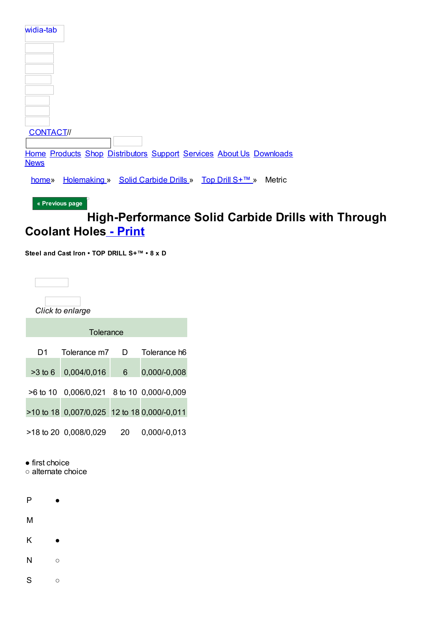| widia-tab        |                                                                     |  |        |
|------------------|---------------------------------------------------------------------|--|--------|
|                  |                                                                     |  |        |
|                  |                                                                     |  |        |
|                  |                                                                     |  |        |
|                  |                                                                     |  |        |
| <b>CONTACT//</b> |                                                                     |  |        |
|                  | Home Products Shop Distributors Support Services About Us Downloads |  |        |
| home»            | Holemaking » Solid Carbide Drills » Top Drill S+™ »                 |  | Metric |
| <b>News</b>      |                                                                     |  |        |

« Previous page

## High-Performance Solid Carbide Drills with Through **Coolant Holes - Print**

Steel and Cast Iron • TOP DRILL S+™ • 8 x D

|                  | Click to enlarge                            |    |              |
|------------------|---------------------------------------------|----|--------------|
|                  | Tolerance                                   |    |              |
| D1               | Tolerance m7                                | D. | Tolerance h6 |
| $>3$ to 6 $\Box$ | 0,004/0,016                                 | 6  | 0,000/-0,008 |
|                  | >6 to 10 0,006/0,021 8 to 10 0,000/-0,009   |    |              |
|                  | >10 to 18 0,007/0,025 12 to 18 0,000/-0,011 |    |              |
|                  | >18 to 20 0,008/0,029                       | 20 | 0.000/-0.013 |

 $\bullet$  first choice

o alternate choice

 $\bullet$ 

 $\overline{P}$ 

M

K  $\bullet$ 

 $\mathsf{N}$  $\circ$ 

 ${\mathsf S}$  $\circ$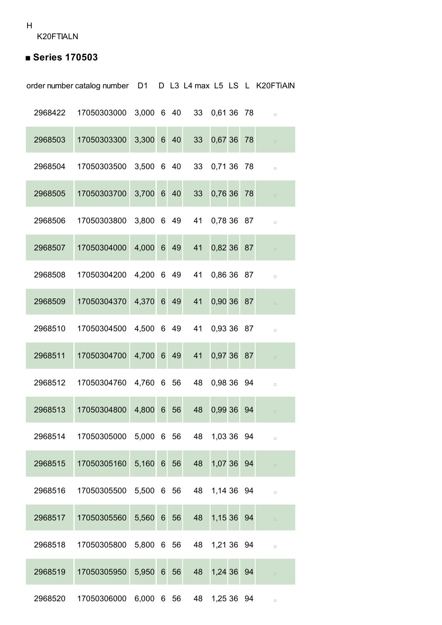## **■ Series 170503**

order number catalog number D1 D L3 L4 max L5 LS L K20FTiAlN

| 2968422 | 17050303000 3,000 6 40 |            |  |    | 33 0,61 36 78 |    | $\Box$ |
|---------|------------------------|------------|--|----|---------------|----|--------|
| 2968503 | 17050303300            | 3,300 6 40 |  | 33 | 0,67 36       | 78 | $\Box$ |
| 2968504 | 17050303500            | 3,500 6 40 |  | 33 | 0,71 36 78    |    | $\Box$ |
| 2968505 | 17050303700            | 3,700 6 40 |  | 33 | 0,76 36       | 78 | $\Box$ |
| 2968506 | 17050303800            | 3,800 6 49 |  | 41 | 0,78 36 87    |    | $\Box$ |
| 2968507 | 17050304000            | 4,000 6 49 |  | 41 | 0,82 36       | 87 | $\Box$ |
| 2968508 | 17050304200            | 4,200 6 49 |  | 41 | 0,86 36 87    |    | $\Box$ |
| 2968509 | 17050304370            | 4,370 6 49 |  | 41 | 0,90 36 87    |    | $\Box$ |
| 2968510 | 17050304500            | 4,500 6 49 |  | 41 | 0,93 36 87    |    | $\Box$ |
| 2968511 | 17050304700            | 4,700 6 49 |  | 41 | 0,97 36 87    |    | $\Box$ |
| 2968512 | 17050304760            | 4,760 6 56 |  | 48 | 0,98 36 94    |    | $\Box$ |
| 2968513 | 17050304800            | 4,800 6 56 |  | 48 | 0,99 36 94    |    | $\Box$ |
| 2968514 | 17050305000            | 5,000 6 56 |  | 48 | 1.03.36       | 94 |        |
| 2968515 | 17050305160            | 5,160 6 56 |  | 48 | 1,07 36 94    |    | $\Box$ |
| 2968516 | 17050305500 5,500 6 56 |            |  | 48 | 1,14 36 94    |    | $\Box$ |
| 2968517 | 17050305560            | 5,560 6 56 |  | 48 | 1,15 36 94    |    | $\Box$ |
| 2968518 | 17050305800 5,800 6 56 |            |  |    | 48 1,21 36 94 |    | $\Box$ |
| 2968519 | 17050305950            | 5,950 6 56 |  | 48 | 1,24 36 94    |    | $\Box$ |
| 2968520 | 17050306000            | 6,000 6 56 |  | 48 | 1,25 36 94    |    | $\Box$ |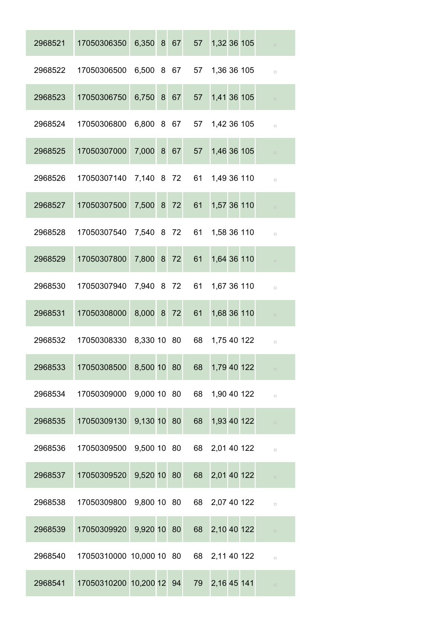| 2968521 | 17050306350                             | 6,350 8 67  |  | 57 | 1,32 36 105    |  | $\Box$ |
|---------|-----------------------------------------|-------------|--|----|----------------|--|--------|
| 2968522 | 17050306500                             | 6,500 8 67  |  |    | 57 1,36 36 105 |  | $\Box$ |
| 2968523 | 17050306750                             | 6,750 8 67  |  | 57 | 1,41 36 105    |  | $\Box$ |
| 2968524 | 17050306800                             | 6,800 8 67  |  |    | 57 1,42 36 105 |  | $\Box$ |
| 2968525 | 17050307000                             | 7,000 8 67  |  | 57 | 1,46 36 105    |  | $\Box$ |
| 2968526 | 17050307140                             | 7,140 8 72  |  | 61 | 1,49 36 110    |  | $\Box$ |
| 2968527 | 17050307500                             | 7,500 8 72  |  | 61 | 1,57 36 110    |  | $\Box$ |
| 2968528 | 17050307540                             | 7,540 8 72  |  | 61 | 1,58 36 110    |  | $\Box$ |
| 2968529 | 17050307800                             | 7,800 8 72  |  | 61 | 1,64 36 110    |  | $\Box$ |
| 2968530 | 17050307940                             | 7,940 8 72  |  | 61 | 1,67 36 110    |  | $\Box$ |
| 2968531 | 17050308000                             | 8,000 8 72  |  | 61 | 1,68 36 110    |  | $\Box$ |
| 2968532 | 17050308330                             | 8,330 10 80 |  | 68 | 1,75 40 122    |  | $\Box$ |
| 2968533 | 17050308500                             | 8,500 10 80 |  | 68 | 1,79 40 122    |  | $\Box$ |
| 2968534 | 17050309000 9,000 10 80                 |             |  |    | 68 1,90 40 122 |  | $\Box$ |
| 2968535 | 17050309130                             | 9,130 10 80 |  | 68 | 1,93 40 122    |  | $\Box$ |
| 2968536 | 17050309500 9,500 10 80                 |             |  |    | 68 2,01 40 122 |  | $\Box$ |
| 2968537 | 17050309520                             | 9,520 10 80 |  |    | 68 2,01 40 122 |  | $\Box$ |
| 2968538 | 17050309800 9,800 10 80                 |             |  |    | 68 2,07 40 122 |  | $\Box$ |
| 2968539 | 17050309920                             | 9,920 10 80 |  | 68 | 2,10 40 122    |  | $\Box$ |
| 2968540 | 17050310000 10,000 10 80 68 2,11 40 122 |             |  |    |                |  | $\Box$ |
| 2968541 | 17050310200 10,200 12 94                |             |  | 79 | 2,16 45 141    |  | $\Box$ |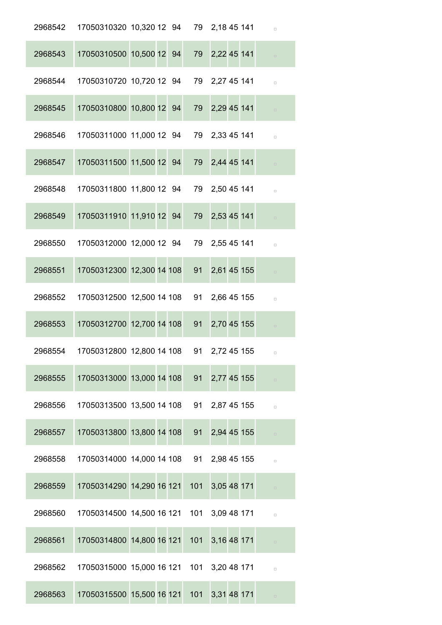|         | 2968542 17050310320 10,320 12 94 79 2,18 45 141 |  |     |                |  | $\Box$ |
|---------|-------------------------------------------------|--|-----|----------------|--|--------|
| 2968543 | 17050310500 10,500 12 94                        |  |     | 79 2,22 45 141 |  |        |
| 2968544 | 17050310720 10,720 12 94 79 2,27 45 141         |  |     |                |  | $\Box$ |
| 2968545 | 17050310800 10,800 12 94                        |  |     | 79 2,29 45 141 |  |        |
| 2968546 | 17050311000 11,000 12 94 79 2,33 45 141         |  |     |                |  | $\Box$ |
| 2968547 | 17050311500 11,500 12 94                        |  |     | 79 2,44 45 141 |  | $\Box$ |
| 2968548 | 17050311800 11,800 12 94 79 2,50 45 141         |  |     |                |  | $\Box$ |
| 2968549 | 17050311910 11,910 12 94                        |  |     | 79 2,53 45 141 |  | $\Box$ |
| 2968550 | 17050312000 12,000 12 94 79 2,55 45 141         |  |     |                |  | $\Box$ |
| 2968551 | 17050312300 12,300 14 108                       |  | 91  | 2,61 45 155    |  | $\Box$ |
| 2968552 | 17050312500 12,500 14 108 91 2,66 45 155        |  |     |                |  | $\Box$ |
| 2968553 | 17050312700 12,700 14 108                       |  | 91  | 2,70 45 155    |  |        |
| 2968554 | 17050312800 12,800 14 108 91 2,72 45 155        |  |     |                |  |        |
| 2968555 | 17050313000 13,000 14 108                       |  | 91  | 2,77 45 155    |  |        |
| 2968556 | 17050313500 13,500 14 108 91 2,87 45 155        |  |     |                |  | $\Box$ |
| 2968557 | 17050313800 13,800 14 108                       |  | 91  | 2,94 45 155    |  |        |
| 2968558 | 17050314000 14,000 14 108 91 2,98 45 155        |  |     |                |  | $\Box$ |
| 2968559 | 17050314290 14,290 16 121                       |  | 101 | 3,05 48 171    |  | $\Box$ |
| 2968560 | 17050314500 14,500 16 121 101 3,09 48 171       |  |     |                |  | $\Box$ |
| 2968561 | 17050314800 14,800 16 121 101                   |  |     | 3,16 48 171    |  | $\Box$ |
| 2968562 | 17050315000 15,000 16 121 101 3,20 48 171       |  |     |                |  | $\Box$ |
| 2968563 | 17050315500 15,500 16 121 101 3,31 48 171       |  |     |                |  | $\Box$ |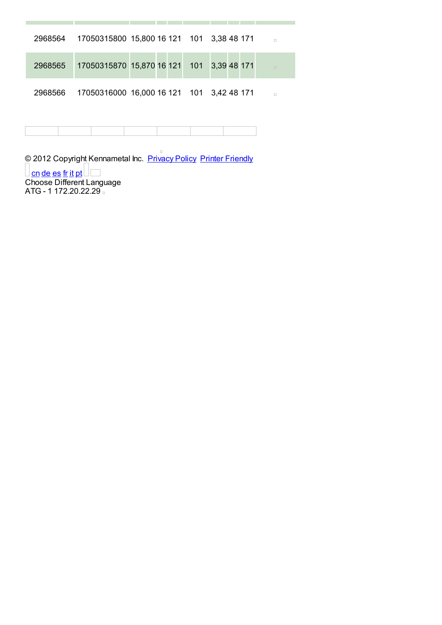| 2968564 | 17050315800 15,800 16 121 101 3,38 48 171 |  | $\Box$ |
|---------|-------------------------------------------|--|--------|
| 2968565 | 17050315870 15,870 16 121 101 3,39 48 171 |  | $\Box$ |
| 2968566 | 17050316000 16,000 16 121 101 3,42 48 171 |  | $\Box$ |

and the company

and the project

m.

© 2012 Copyright Kennametal Inc. Privacy Policy Printer Friendly <u>Con de es fr it pt</u><br>Choose Different Language<br>ATG - 1 172.20.22.29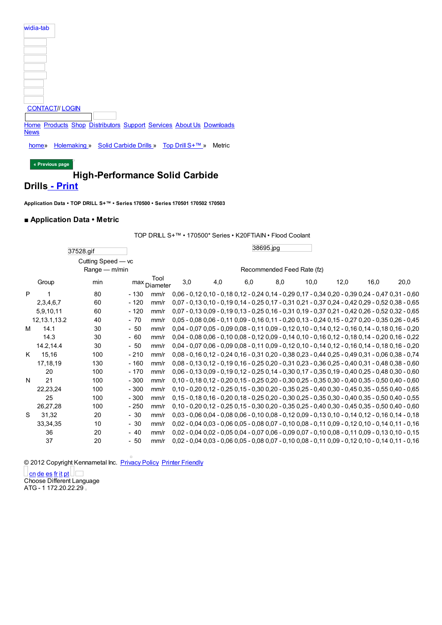| widia-tab                                                                          |
|------------------------------------------------------------------------------------|
|                                                                                    |
|                                                                                    |
|                                                                                    |
|                                                                                    |
|                                                                                    |
| <b>CONTACT// LOGIN</b>                                                             |
| Home Products Shop Distributors Support Services About Us Downloads<br><b>News</b> |
| Holemaking » Solid Carbide Drills » Top Drill S <sup>+™</sup> »<br>Metric<br>home» |
| « Previous page                                                                    |
| <b>High-Performance Solid Carbide</b>                                              |

### **Drills - Print**

**[Application](http://www.widia.com/widia/en/index.jhtml) Data • TOP [DRILL](http://www.widia.com/widia/en/products_main.jhtml) S+™ [•Series](https://widiacenter.widia.com/b2b_kmt/b2b/init.do?language=en) 170500 • Series [170501](http://www.widia.com/distributor_finder/dist_search.jhtml) 170502 [170503](http://www.widia.com/widia/en/support.jhtml)**

#### **■ [Applica](http://www.widia.com/widia/en/news/index.jhtml)tion Data • Metric**

TOP DRILL S+™ •170500\* Series • K20FTiAlN • Flood Coolant

|   |                | 37528.gif          |                            |                          |     |  |     |  |     | 38695.jpg |  |      |      |      |  |                                                                                                                 |
|---|----------------|--------------------|----------------------------|--------------------------|-----|--|-----|--|-----|-----------|--|------|------|------|--|-----------------------------------------------------------------------------------------------------------------|
|   |                | Cutting Speed - vc |                            |                          |     |  |     |  |     |           |  |      |      |      |  |                                                                                                                 |
|   |                | Range - m/min      | Recommended Feed Rate (fz) |                          |     |  |     |  |     |           |  |      |      |      |  |                                                                                                                 |
|   | Group          | min                |                            | Tool<br>$max_{Diameter}$ | 3,0 |  | 4,0 |  | 6,0 | 8,0       |  | 10,0 | 12,0 | 16,0 |  | 20,0                                                                                                            |
| P | 1              | 80                 | $-130$                     | mm/r                     |     |  |     |  |     |           |  |      |      |      |  | 0,06 - 0,12 0,10 - 0,18 0,12 - 0,24 0,14 - 0,29 0,17 - 0,34 0,20 - 0,39 0,24 - 0,47 0,31 - 0,60                 |
|   | 2,3,4,6,7      | 60                 | $-120$                     | mm/r                     |     |  |     |  |     |           |  |      |      |      |  | 0,07 - 0,13 0,10 - 0,19 0,14 - 0,25 0,17 - 0,31 0,21 - 0,37 0,24 - 0,42 0,29 - 0,52 0,38 - 0,65                 |
|   | 5,9,10,11      | 60                 | $-120$                     | mm/r                     |     |  |     |  |     |           |  |      |      |      |  | $0.07 - 0.130.09 - 0.190.13 - 0.250.16 - 0.310.19 - 0.370.21 - 0.420.26 - 0.520.32 - 0.65$                      |
|   | 12, 13.1, 13.2 | 40                 | $-70$                      | mm/r                     |     |  |     |  |     |           |  |      |      |      |  | 0,05 - 0,08 0,06 - 0,11 0,09 - 0,16 0,11 - 0,20 0,13 - 0,24 0,15 - 0,27 0,20 - 0,35 0,26 - 0,45                 |
| м | 14.1           | 30                 | $-50$                      | mm/r                     |     |  |     |  |     |           |  |      |      |      |  | 0,04 - 0,07 0,05 - 0,09 0,08 - 0,11 0,09 - 0,12 0,10 - 0,14 0,12 - 0,16 0,14 - 0,18 0,16 - 0,20                 |
|   | 14.3           | 30                 | $-60$                      | mm/r                     |     |  |     |  |     |           |  |      |      |      |  | 0,04 - 0,08 0,06 - 0,10 0,08 - 0,12 0,09 - 0,14 0,10 - 0,16 0,12 - 0,18 0,14 - 0,20 0,16 - 0,22                 |
|   | 14.2,14.4      | 30                 | $-50$                      | mm/r                     |     |  |     |  |     |           |  |      |      |      |  | 0,04 - 0,07 0,06 - 0,09 0,08 - 0,11 0,09 - 0,12 0,10 - 0,14 0,12 - 0,16 0,14 - 0,18 0,16 - 0,20                 |
| K | 15.16          | 100                | $-210$                     | mm/r                     |     |  |     |  |     |           |  |      |      |      |  | 0,08 - 0,16 0,12 - 0,24 0,16 - 0,31 0,20 - 0,38 0,23 - 0,44 0,25 - 0,49 0,31 - 0,06 0,38 - 0,74                 |
|   | 17,18,19       | 130                | $-160$                     | mm/r                     |     |  |     |  |     |           |  |      |      |      |  | 0,08 - 0,13 0,12 - 0,19 0,16 - 0,25 0,20 - 0,31 0,23 - 0,36 0,25 - 0,40 0,31 - 0,48 0,38 - 0,60                 |
|   | 20             | 100                | $-170$                     | mm/r                     |     |  |     |  |     |           |  |      |      |      |  | 0,06 - 0,13 0,09 - 0,19 0,12 - 0,25 0,14 - 0,30 0,17 - 0,35 0,19 - 0,40 0,25 - 0,48 0,30 - 0,60                 |
| N | 21             | 100                | $-300$                     | mm/r                     |     |  |     |  |     |           |  |      |      |      |  | $0,10 - 0,18$ $0,12 - 0,20$ $0,15 - 0,25$ $0,20 - 0,30$ $0,25 - 0,35$ $0,30 - 0,40$ $0,35 - 0,50$ $0,40 - 0,60$ |
|   | 22,23,24       | 100                | $-300$                     | mm/r                     |     |  |     |  |     |           |  |      |      |      |  | $0.10 - 0.20$ $0.12 - 0.25$ $0.15 - 0.30$ $0.20 - 0.35$ $0.25 - 0.40$ $0.30 - 0.45$ $0.35 - 0.55$ $0.40 - 0.65$ |
|   | 25             | 100                | $-300$                     | mm/r                     |     |  |     |  |     |           |  |      |      |      |  | 0,15 - 0,18 0,16 - 0,20 0,18 - 0,25 0,20 - 0,30 0,25 - 0,35 0,30 - 0,40 0,35 - 0,50 0,40 - 0,55                 |
|   | 26,27,28       | 100                | $-250$                     | mm/r                     |     |  |     |  |     |           |  |      |      |      |  | 0,10 - 0,20 0,12 - 0,25 0,15 - 0,30 0,20 - 0,35 0,25 - 0,40 0,30 - 0,45 0,35 - 0,50 0,40 - 0,60                 |
| S | 31,32          | 20                 | $-30$                      | mm/r                     |     |  |     |  |     |           |  |      |      |      |  | 0,03 - 0,06 0,04 - 0,08 0,06 - 0,10 0,08 - 0,12 0,09 - 0,13 0,10 - 0,14 0,12 - 0,16 0,14 - 0,18                 |
|   | 33, 34, 35     | 10                 | $-30$                      | mm/r                     |     |  |     |  |     |           |  |      |      |      |  | 0,02 - 0,04 0,03 - 0,06 0,05 - 0,08 0,07 - 0,10 0,08 - 0,11 0,09 - 0,12 0,10 - 0,14 0,11 - 0,16                 |
|   | 36             | 20                 | $-40$                      | mm/r                     |     |  |     |  |     |           |  |      |      |      |  | 0,02 - 0,04 0,02 - 0,05 0,04 - 0,07 0,06 - 0,09 0,07 - 0,10 0,08 - 0,11 0,09 - 0,13 0,10 - 0,15                 |
|   | 37             | 20                 | $-50$                      | mm/r                     |     |  |     |  |     |           |  |      |      |      |  | 0,02 - 0,04 0,03 - 0,06 0,05 - 0,08 0,07 - 0,10 0,08 - 0,11 0,09 - 0,12 0,10 - 0,14 0,11 - 0,16                 |

© 2012 Copyright Kennametal Inc. Privacy Policy Printer Friendly

cn de es fr it pt Choose Different Language ATG - 1 172.20.22.29